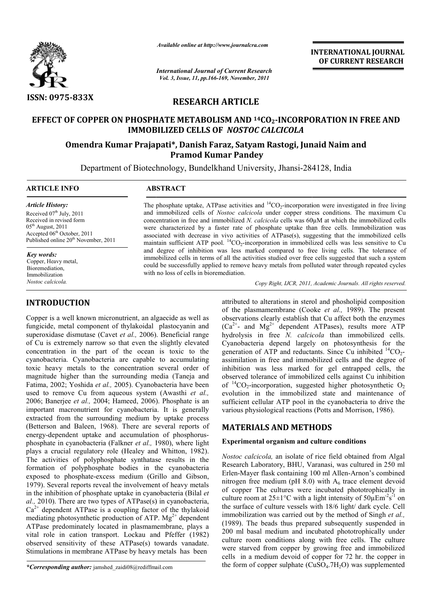

*Available online at http://www.journalcra.com*

*International Journal of Current Research Vol. 3, Issue, 11, pp.166-169, November, 2011*

**INTERNATIONAL INTERNATIONAL JOURNAL OF CURRENT RESEARCH** 

# **RESEARCH ARTICLE**

# **EFFECT OF COPPER ON PHOSPHATE METABOLISM AND 14CO2-INCORPORATION IN FREE AND IMMOBILIZED CELLS OF**  *NOSTOC CALCICOLA* OF COPPER ON PHOSPHATE METABOLISM AND <sup>14</sup>CO<sub>2</sub>-INCORPORATION IN F<br>IMMOBILIZED CELLS OF *NOSTOC CALCICOLA*<br>Omendra Kumar Prajapati\*, Danish Faraz, Satyam Rastogi, Junaid Naim and

# **Pramod Kumar Pandey**

Department of Biotechnology, Bundelkhand University, Jhansi-284128, India  $\overline{a}$ 

#### **ARTICLE INFO ABSTRACT**

*Article History:* Received  $07<sup>th</sup>$  July, 2011 Received in revised form  $05<sup>th</sup>$  August, 2011 Accepted 06th October, 2011 Published online 20<sup>th</sup> November, 2011

*Key words:* Copper, Heavy metal, Bioremediation, Immobilization *Nostoc calcicola.*

# **INTRODUCTION**

Copper is a well known micronutrient, an algaecide as well as fungicide, metal component of thylakoidal plastocyanin and superoxidase dismutase (Cavet *et al.,* 2006). Beneficial range of Cu is extremely narrow so that even the slightly elevated concentration in the part of the ocean is toxic to the cyanobacteria. Cyanobacteria are capable to accumulating toxic heavy metals to the concentration several order of magnitude higher than the surrounding media (Taneja and Fatima, 2002; Yoshida *et al.,* 2005). Cyanobacteria have been used to remove Cu from aqueous system (Awasthi *et al.,* 2006; Banerjee *et al.,* 2004; Hameed, 2006). Phosphate is an important macronutrient for cyanobacteria. It is generally extracted from the surrounding medium by uptake process (Betterson and Baleen, 1968). There are several reports of important macronutrient for cyanobacteria. It is generally extracted from the surrounding medium by uptake process (Betterson and Baleen, 1968). There are several reports of energy-dependent uptake and accumulation of phos phosphate in cyanobacteria (Falkner *et al.*, 1980), where light plays a crucial regulatory role (Healey and Whitton, 1982). The activities of polyphosphate synthatase results in the formation of polyphosphate bodies in the cyanobacteria exposed to phosphate-excess medium (Grillo and Gibson, exposed to phosphate-excess medium (Grillo and Gibson, 1979). Several reports reveal the involvement of heavy metals in the inhibition of phosphate uptake in cyanobacteria (Bilal *et al.,* 2010). There are two types of ATPase(s) in cyanobacteria,  $Ca<sup>2+</sup>$  dependent ATPase is a coupling factor of the thylakoid mediating photosynthetic production of ATP.  $Mg^{2+}$  dependent ATPase predominately located in plasmamembrane, plays a vital role in cation transport. Lockau and Pfeffer (1982) observed sensitivity of these ATPase(s) towards vanadate. Stimulations in membrane ATPase by heavy metals has been

*\*Corresponding author:* jamshed\_zaidi08@rediffmail.com

The phosphate uptake, ATPase activities and  ${}^{14}CO_2$ -incorporation were investigated in free living and immobilized cells of *Nostoc calcicola* under copper stress conditions. The maximum Cu concentration in free and immobilized *N. calcicola* cells was 60µM at which the immobilized cells were characterized by a faster rate of phosphate uptake than free cells. Immobilization was associated with decrease in vivo activities of ATPase(s), suggesting that the immobilized cells maintain sufficient ATP pool.  ${}^{14}CO_2$ -incorporation in immobilized cells was less sensitive and degree of inhibition was less marked compared to free living cells. The tolerance of immobilized cells in terms of all the activities studied over free cells suggested that such a system and degree of inhibition was less marked compared to free living cells. The tolerance of immobilized cells in terms of all the activities studied over free cells suggested that such a system could be successfully applied t with no loss of cells in bioremediation. Pase activities and <sup>14</sup>CO<sub>2</sub>-incorporation were investigated in free living *Nostoc calcicola* under copper stress conditions. The maximum Cu mmobilized *N. calcicola* cells was 60 $\mu$ M at which the immobilized cells fas

*Copy Right, IJCR, 2011, Academic Journals Copy Right, Journals. All rights reserved.*

attributed to alterations in sterol and phosholipid composition attributed to alterations in sterol and phosholipid composition<br>of the plasmamembrane (Cooke *et al.*, 1989). The present observations clearly establish that Cu affect both the enzymes observations clearly establish that Cu affect both the enzymes  $(Ca^{2+}$ - and  $Mg^{2+}$  dependent ATPases), results more ATP hydrolysis in free *N. calcicola* than immobilized cells. Cyanobacteria depend largely on photosynthesis for the Cyanobacteria depend largely on photosynthesis for the generation of ATP and reductants. Since Cu inhibited  $\rm ^{14}CO_{2}$ assimilation in free and immobilized cells and the degree of inhibition was less marked for gel entrapped cells, the observed tolerance of immobilized cells against Cu inhibition assimilation in free and immobilized cells and the degree of inhibition was less marked for gel entrapped cells, the observed tolerance of immobilized cells against Cu inhibition of  $^{14}CO_2$ -incorporation, suggested high evolution in the immobilized state and maintenance of evolution in the immobilized state and maintenance of sufficient cellular ATP pool in the cyanobacteria to drive the various physiological reactions (Potts and Morrison, 1986).

## **MATERIALS AND METHODS METHODS**

#### **Experimental organism and culture conditions**

*Nostoc calcicola,* an isolate of rice field obtained from Algal Research Laboratory, BHU, Varanasi, was cultured in 250 ml Erlen-Mayer flask containing 100 ml Allen nitrogen free medium (pH  $8.0$ ) with  $A<sub>6</sub>$  trace element devoid of copper The cultures were incubated phototrophically in of copper The cultures were incubated phototrophically in culture room at  $25 \pm 1^{\circ}$ C with a light intensity of  $50 \mu \text{Em}^{-2} \text{s}^{-1}$  on the surface of culture vessels with 18/6 light/ dark cycle. Cell the surface of culture vessels with 18/6 light/ dark cycle. Cell immobilization was carried out by the method of Singh *et al.*, (1989). The beads thus prepared subsequently suspended in 200 ml basal medium and incubated phototrophically under culture room conditions along with free cells. The culture were starved from copper by growing free and immobilized cells in a medium devoid of copper for 72 hr. the copper in the form of copper sulphate  $(CuSO<sub>4</sub>.7H<sub>2</sub>O)$  was supplemented *c calcicola*, an isolate of rice field obtained from Algal<br>rch Laboratory, BHU, Varanasi, was cultured in 250 ml<br>Mayer flask containing 100 ml Allen-Arnon's combined 9). The beads thus prepared subsequently suspended in ml basal medium and incubated phototrophically under re room conditions along with free cells. The culture starved from copper by growing free and immobilized in a med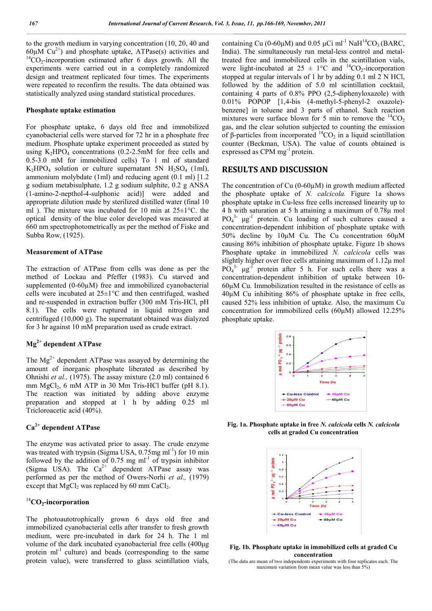to the growth medium in varying concentration (10, 20, 40 and 60 $\mu$ M Cu<sup>2+</sup>) and phosphate uptake, ATPase(s) activities and <sup>14</sup>CO<sub>2</sub>-incorporation estimated after 6 days growth. All the experiments were carried out in a completely randomized design and treatment replicated four times. The experiments were repeated to reconfirm the results. The data obtained was statistically analyzed using standard statistical procedures.

#### **Phosphate uptake estimation**

For phosphate uptake, 6 days old free and immobilized cyanobacterial cells were starved for 72 hr in a phosphate free medium. Phosphate uptake experiment proceeded as stated by using  $K_2HPO_4$  concentrations (0.2-2.5mM for free cells and 0.5-3.0 mM for immobilized cells) To 1 ml of standard K<sub>2</sub>HPO<sub>4</sub> solution or culture supernatant 5N  $H_2SO_4$  (1ml), ammonium molybdate (1ml) and reducing agent (0.1 ml) [1.2 g sodium metabisulphate, 1.2 g sodium sulphite, 0.2 g ANSA (1-amino-2-nepthol-4-sulphonic acid)] were added and appropriate dilution made by sterilized distilled water (final 10 ml ). The mixture was incubated for 10 min at 25±1°C. the optical density of the blue color developed was measured at 660 nm spectrophotometrically as per the method of Fiske and Subba Row, (1925).

#### **Measurement of ATPase**

The extraction of ATPase from cells was done as per the method of Lockau and Pfeffer (1983). Cu starved and supplemented (0-60 $\mu$ M) free and immobilized cyanobacterial cells were incubated at 25±1°C and then centrifuged, washed and re-suspended in extraction buffer (300 mM Tris-HCl, pH 8.1). The cells were ruptured in liquid nitrogen and centrifuged (10,000 g). The supernatant obtained was dialyzed for 3 hr against 10 mM preparation used as crude extract.

### **Mg2+ dependent ATPase**

The  $Mg^{2+}$  dependent ATPase was assayed by determining the amount of inorganic phosphate liberated as described by Ohnishi *et al.,* (1975). The assay mixture (2.0 ml) contained 6 mm  $MgCl<sub>2</sub>$ , 6 mM ATP in 30 Mm Tris-HCl buffer (pH 8.1). The reaction was initiated by adding above enzyme preparation and stopped at 1 h by adding 0.25 ml Tricloroacetic acid (40%).

# **Ca2+ dependent ATPase**

The enzyme was activated prior to assay. The crude enzyme was treated with trypsin (Sigma USA, 0.75mg ml<sup>-1</sup>) for 10 min followed by the addition of  $0.75$  mg ml<sup>-1</sup> of trypsin inhibitor (Sigma USA). The  $Ca^{2+}$  dependent ATPase assay was performed as per the method of Owers-Norhi *et al.,* (1979) except that  $MgCl<sub>2</sub>$  was replaced by 60 mm CaCl<sub>2</sub>.

#### <sup>14</sup>**CO2-incorporation**

The photoautotrophically grown 6 days old free and immobilized cyanobacterial cells after transfer to fresh growth medium, were pre-incubated in dark for 24 h. The 1 ml volume of the dark incubated cyanobacterial free cells (400μg protein ml<sup>-1</sup> culture) and beads (corresponding to the same protein value), were transferred to glass scintillation vials,

containing Cu (0-60μM) and 0.05 μCi ml<sup>-1</sup> NaH<sup>14</sup>CO<sub>3</sub> (BARC, India). The simultaneously run metal-less control and metaltreated free and immobilized cells in the scintillation vials, were light-incubated at  $25 \pm 1^{\circ}\text{C}$  and <sup>14</sup>CO<sub>2</sub>-incorporation stopped at regular intervals of 1 hr by adding 0.1 ml 2 N HCl, followed by the addition of 5.0 ml scintillation cocktail, containing 4 parts of 0.8% PPO (2,5-diphenyloxazole) with 0.01% POPOP [1,4-bis (4-methyl-5-phenyl-2 oxazole) benzene] in toluene and 3 parts of ethanol. Such reaction mixtures were surface blown for 5 min to remove the  ${}^{14}CO_2$ gas, and the clear solution subjected to counting the emission of β-particles from incorporated  ${}^{14}CO_2$  in a liquid scintillation counter (Beckman, USA). The value of counts obtained is expressed as CPM mg<sup>-1</sup> protein.

#### **RESULTS AND DISCUSSION**

The concentration of Cu (0-60µM) in growth medium affected the phosphate uptake of *N. calcicola.* Figure 1a shows phosphate uptake in Cu-less free cells increased linearity up to 4 h with saturation at 5 h attaining a maximum of 0.78μ mol  $PO<sub>4</sub><sup>3-</sup> μg<sup>-1</sup>$  protein. Cu loading of such cultures caused a concentration-dependent inhibition of phosphate uptake with 50% decline by 10μM Cu. The Cu concentration 60μM causing 86% inhibition of phosphate uptake. Figure 1b shows Phosphate uptake in immobilized *N. calcicola* cells was slightly higher over free cells attaining maximum of 1.12μ mol  $PO<sub>4</sub><sup>3</sup>$  µg<sup>-1</sup> protein after 5 h. For such cells there was a concentration-dependent inhibition of uptake between 10- 60μM Cu. Immobilization resulted in the resistance of cells as 40μM Cu inhibiting 86% of phosphate uptake in free cells, caused 52% less inhibition of uptake. Also, the maximum Cu concentration for immobilized cells (60μM) allowed 12.25% phosphate uptake.



**Fig. 1a. Phosphate uptake in free** *N. calcicola* **cells** *N. calcicola* **cells at graded Cu concentration**



**Fig. 1b. Phosphate uptake in immobilized cells at graded Cu concentration**

(The data are mean of two independents experiments with four replicates each. The maximum variation from mean value was less than 5%)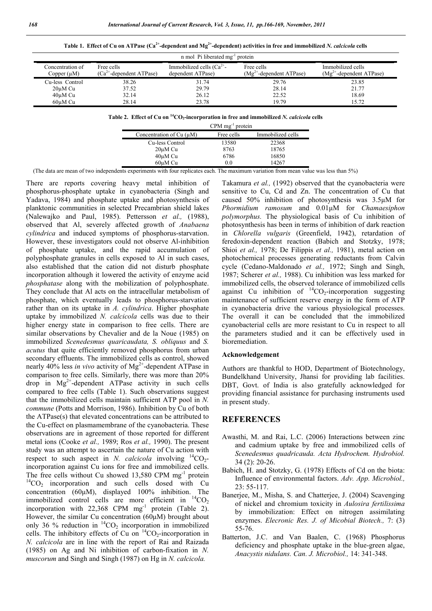| n mol Pi liberated mg <sup>-1</sup> protein |                                             |                                                    |                                          |                                                 |  |
|---------------------------------------------|---------------------------------------------|----------------------------------------------------|------------------------------------------|-------------------------------------------------|--|
| Concentration of<br>Copper $(\mu M)$        | Free cells<br>$(Ca^{2+}$ -dependent ATPase) | Immobilized cells $(Ca^{2+})$<br>dependent ATPase) | Free cells<br>$(Mg2+$ -dependent ATPase) | Immobilized cells<br>$(Mg2+$ -dependent ATPase) |  |
| Cu-less Control                             | 38.26                                       | 31.74                                              | 29.76                                    | 23.85                                           |  |
| $20 \mu M$ Cu                               | 37.52                                       | 29.79                                              | 28.14                                    | 21.77                                           |  |
| 40 <sub>u</sub> M Cu                        | 32.14                                       | 26.12                                              | 22.52                                    | 18.69                                           |  |
| 60uM Cu                                     | 28.14                                       | 23.78                                              | 19.79                                    | 15.72                                           |  |

**Table 1. Effect of Cu on ATPase (Ca2+-dependent and Mg2+-dependent) activities in free and immobilized** *N. calcicola* **cells**

**Table 2. Effect of Cu on 14CO2-incorporation in free and immobilized** *N. calcicola* **cells**

|                            | $CPM$ mg $^{-1}$ protein |                   |
|----------------------------|--------------------------|-------------------|
| Concentration of $Cu (µM)$ | Free cells               | Immobilized cells |
| Cu-less Control            | 13580                    | 22368             |
| $20 \mu M$ Cu              | 8763                     | 18765             |
| 40 <sub>u</sub> M Cu       | 6786                     | 16850             |
| $60 \mu M$ Cu              | 0.0                      | 14267             |

(The data are mean of two independents experiments with four replicates each. The maximum variation from mean value was less than 5%)

There are reports covering heavy metal inhibition of phosphorus-phosphate uptake in cyanobacteria (Singh and Yadava, 1984) and phosphate uptake and photosynthesis of planktonic communities in selected Precambrian shield lakes (Nalewajko and Paul, 1985). Pettersson *et al.,* (1988), observed that Al, severely affected growth of *Anabaena cylindrica* and induced symptoms of phosphorus-starvation. However, these investigators could not observe Al-inhibition of phosphate uptake, and the rapid accumulation of polyphosphate granules in cells exposed to Al in such cases, also established that the cation did not disturb phosphate incorporation although it lowered the activity of enzyme acid *phosphatase* along with the mobilization of polyphosphate. They conclude that Al acts on the intracellular metabolism of phosphate, which eventually leads to phosphorus-starvation rather than on its uptake in *A. cylindrica*. Higher phosphate uptake by immobilized *N. calcicola* cells was due to their higher energy state in comparison to free cells. There are similar observations by Chevalier and de la Noue (1985) on immobilized *Scenedesmus quaricaudata, S. obliquus* and *S. acutus* that quite efficiently removed phosphorus from urban secondary effluents. The immobilized cells as control, showed nearly 40% less *in vivo* activity of Mg<sup>2+</sup>-dependent ATPase in comparison to free cells. Similarly, there was more than 20% drop in  $Mg^{2+}$ -dependent ATPase activity in such cells compared to free cells (Table 1). Such observations suggest that the immobilized cells maintain sufficient ATP pool in *N. commune* (Potts and Morrison, 1986). Inhibition by Cu of both the ATPase(s) that elevated concentrations can be attributed to the Cu-effect on plasmamembrane of the cyanobacteria. These observations are in agreement of those reported for different metal ions (Cooke *et al.,* 1989; Ros *et al.,* 1990). The present study was an attempt to ascertain the nature of Cu action with respect to such aspect in *N. calcicola* involving  ${}^{14}CO_2$ incorporation against Cu ions for free and immobilized cells. The free cells without Cu showed 13,580 CPM mg<sup>-1</sup> protein  ${}^{14}CO_2$  incorporation and such cells dosed with Cu concentration (60μM), displayed 100% inhibition. The immobilized control cells are more efficient in  ${}^{14}CO_2$ incorporation with  $22,368$  CPM mg<sup>-1</sup> protein (Table 2). However, the similar Cu concentration (60μM) brought about only 36 % reduction in  $\frac{14}{12}CO_2$  incorporation in immobilized cells. The inhibitory effects of Cu on  ${}^{14}CO_2$ -incorporation in *N. calcicola* are in line with the report of Rai and Raizada (1985) on Ag and Ni inhibition of carbon-fixation in *N. muscorum* and Singh and Singh (1987) on Hg in *N. calcicola.*

Takamura *et al.,* (1992) observed that the cyanobacteria were sensitive to Cu, Cd and Zn. The concentration of Cu that caused 50% inhibition of photosynthesis was 3.5μM for *Phormidium ramosum* and 0.01μM for *Chamaesiphon polymorphus.* The physiological basis of Cu inhibition of photosynthesis has been in terms of inhibition of dark reaction in *Chlorella vulgaris* (Greenfield, 1942), retardation of feredoxin-dependent reaction (Babich and Stotzky, 1978; Shioi *et al.,* 1978; De Filippis *et al.,* 1981), metal action on photochemical processes generating reductants from Calvin cycle (Cedano-Maldonado *et al.,* 1972; Singh and Singh, 1987; Scherer *et al.,* 1988). Cu inhibition was less marked for immobilized cells, the observed tolerance of immobilized cells against Cu inhibition of  ${}^{14}CO_2$ -incorporation suggesting maintenance of sufficient reserve energy in the form of ATP in cyanobacteria drive the various physiological processes. The overall it can be concluded that the immobilized cyanobacterial cells are more resistant to Cu in respect to all the parameters studied and it can be effectively used in bioremediation.

#### **Acknowledgement**

Authors are thankful to HOD, Department of Biotechnology, Bundelkhand University, Jhansi for providing lab facilities. DBT, Govt. of India is also gratefully acknowledged for providing financial assistance for purchasing instruments used in present study.

#### **REFERENCES**

- Awasthi, M. and Rai, L.C. (2006) Interactions between zinc and cadmium uptake by free and immobilized cells of *Scenedesmus quadricauda. Acta Hydrochem. Hydrobiol.*  34 (2): 20-26.
- Babich, H. and Stotzky, G. (1978) Effects of Cd on the biota: Influence of environmental factors. *Adv. App. Microbiol.,*  23: 55-117.
- Banerjee, M., Misha, S. and Chatterjee, J. (2004) Scavenging of nickel and chromium toxicity in *Aulosira fertilissima*  by immobilization: Effect on nitrogen assimilating enzymes. *Elecronic Res. J. of Micobial Biotech.,* 7: (3) 55-76.
- Batterton, J.C. and Van Baalen, C. (1968) Phosphorus deficiency and phosphate uptake in the blue-green algae, *Anacystis nidulans. Can. J. Microbiol.,* 14: 341-348.